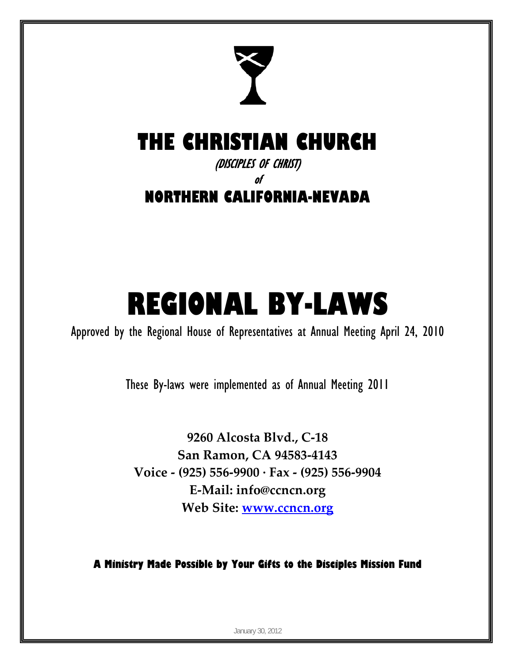

## **THE CHRISTIAN CHURCH**

(DISCIPLES OF CHRIST)

of

**NORTHERN CALIFORNIA-NEVADA** 

# **REGIONAL BY-LAWS**

Approved by the Regional House of Representatives at Annual Meeting April 24, 2010

These By-laws were implemented as of Annual Meeting 2011

**9260 Alcosta Blvd., C‐18 San Ramon, CA 94583‐4143 Voice ‐ (925) 556‐9900 ∙ Fax ‐ (925) 556‐9904 E‐Mail: info@ccncn.org Web Site: www.ccncn.org**

**A Ministry Made Possible by Your Gifts to the Disciples Mission Fund**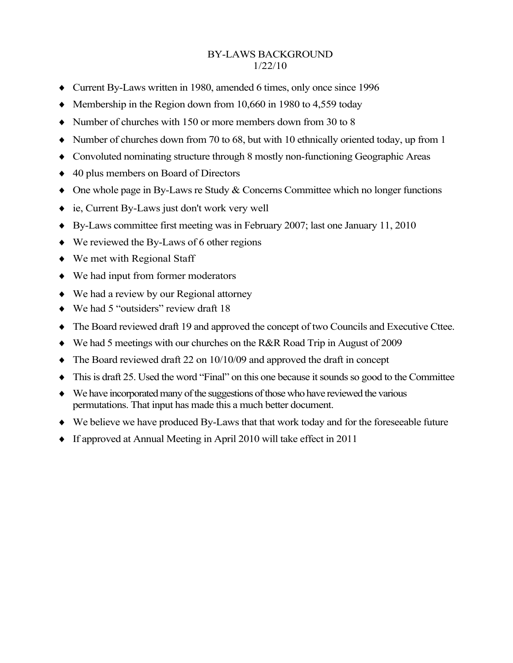#### BY-LAWS BACKGROUND 1/22/10

- Current By-Laws written in 1980, amended 6 times, only once since 1996
- $\blacklozenge$  Membership in the Region down from 10,660 in 1980 to 4,559 today
- $\bullet$  Number of churches with 150 or more members down from 30 to 8
- $\blacklozenge$  Number of churches down from 70 to 68, but with 10 ethnically oriented today, up from 1
- Convoluted nominating structure through 8 mostly non-functioning Geographic Areas
- ◆ 40 plus members on Board of Directors
- One whole page in By-Laws re Study & Concerns Committee which no longer functions
- ie, Current By-Laws just don't work very well
- By-Laws committee first meeting was in February 2007; last one January 11, 2010
- ◆ We reviewed the By-Laws of 6 other regions
- We met with Regional Staff
- We had input from former moderators
- We had a review by our Regional attorney
- ◆ We had 5 "outsiders" review draft 18
- The Board reviewed draft 19 and approved the concept of two Councils and Executive Cttee.
- We had 5 meetings with our churches on the R&R Road Trip in August of 2009
- The Board reviewed draft 22 on 10/10/09 and approved the draft in concept
- $\bullet$  This is draft 25. Used the word "Final" on this one because it sounds so good to the Committee
- We have incorporated many of the suggestions of those who have reviewed the various permutations. That input has made this a much better document.
- We believe we have produced By-Laws that that work today and for the foreseeable future
- If approved at Annual Meeting in April 2010 will take effect in 2011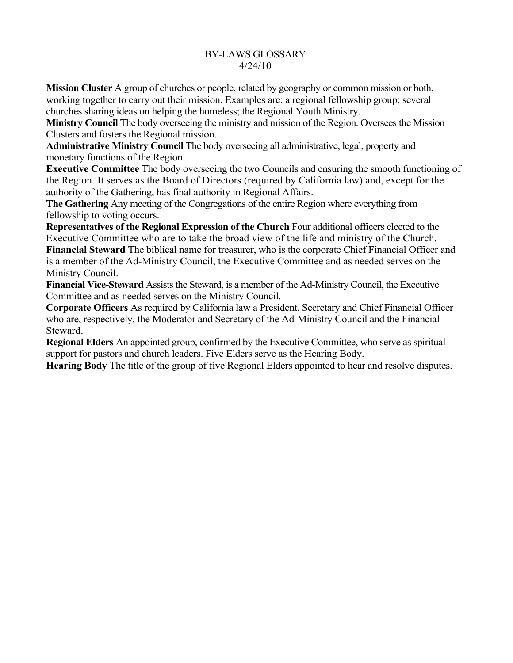#### BY-LAWS GLOSSARY 4/24/10

**Mission Cluster** A group of churches or people, related by geography or common mission or both, working together to carry out their mission. Examples are: a regional fellowship group; several churches sharing ideas on helping the homeless; the Regional Youth Ministry.

**Ministry Council** The body overseeing the ministry and mission of the Region. Oversees the Mission Clusters and fosters the Regional mission.

**Administrative Ministry Council** The body overseeing all administrative, legal, property and monetary functions of the Region.

**Executive Committee** The body overseeing the two Councils and ensuring the smooth functioning of the Region. It serves as the Board of Directors (required by California law) and, except for the authority of the Gathering, has final authority in Regional Affairs.

**The Gathering** Any meeting of the Congregations of the entire Region where everything from fellowship to voting occurs.

**Representatives of the Regional Expression of the Church** Four additional officers elected to the Executive Committee who are to take the broad view of the life and ministry of the Church. **Financial Steward** The biblical name for treasurer, who is the corporate Chief Financial Officer and

is a member of the Ad-Ministry Council, the Executive Committee and as needed serves on the Ministry Council.

**Financial Vice-Steward** Assists the Steward, is a member of the Ad-Ministry Council, the Executive Committee and as needed serves on the Ministry Council.

**Corporate Officers** As required by California law a President, Secretary and Chief Financial Officer who are, respectively, the Moderator and Secretary of the Ad-Ministry Council and the Financial Steward.

**Regional Elders** An appointed group, confirmed by the Executive Committee, who serve as spiritual support for pastors and church leaders. Five Elders serve as the Hearing Body.

**Hearing Body** The title of the group of five Regional Elders appointed to hear and resolve disputes.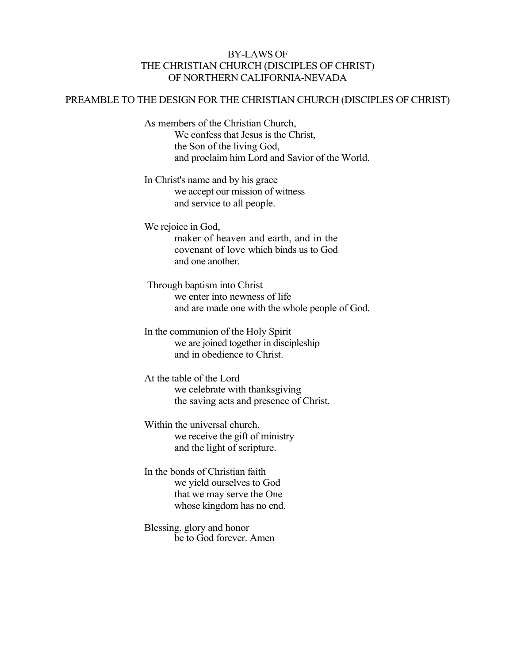#### BY-LAWS OF THE CHRISTIAN CHURCH (DISCIPLES OF CHRIST) OF NORTHERN CALIFORNIA-NEVADA

#### PREAMBLE TO THE DESIGN FOR THE CHRISTIAN CHURCH (DISCIPLES OF CHRIST)

As members of the Christian Church, We confess that Jesus is the Christ, the Son of the living God, and proclaim him Lord and Savior of the World.

In Christ's name and by his grace we accept our mission of witness and service to all people.

We rejoice in God, maker of heaven and earth, and in the covenant of love which binds us to God and one another.

Through baptism into Christ we enter into newness of life and are made one with the whole people of God.

In the communion of the Holy Spirit we are joined together in discipleship and in obedience to Christ.

At the table of the Lord we celebrate with thanksgiving the saving acts and presence of Christ.

Within the universal church, we receive the gift of ministry and the light of scripture.

In the bonds of Christian faith we yield ourselves to God that we may serve the One whose kingdom has no end.

Blessing, glory and honor be to God forever. Amen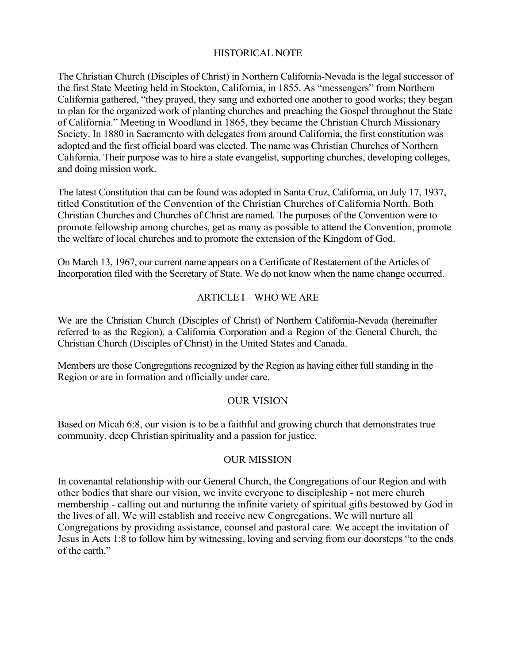#### HISTORICAL NOTE

The Christian Church (Disciples of Christ) in Northern California-Nevada is the legal successor of the first State Meeting held in Stockton, California, in 1855. As "messengers" from Northern California gathered, "they prayed, they sang and exhorted one another to good works; they began to plan for the organized work of planting churches and preaching the Gospel throughout the State of California." Meeting in Woodland in 1865, they became the Christian Church Missionary Society. In 1880 in Sacramento with delegates from around California, the first constitution was adopted and the first official board was elected. The name was Christian Churches of Northern California. Their purpose was to hire a state evangelist, supporting churches, developing colleges, and doing mission work.

The latest Constitution that can be found was adopted in Santa Cruz, California, on July 17, 1937, titled Constitution of the Convention of the Christian Churches of California North. Both Christian Churches and Churches of Christ are named. The purposes of the Convention were to promote fellowship among churches, get as many as possible to attend the Convention, promote the welfare of local churches and to promote the extension of the Kingdom of God.

On March 13, 1967, our current name appears on a Certificate of Restatement of the Articles of Incorporation filed with the Secretary of State. We do not know when the name change occurred.

#### ARTICLE I – WHO WE ARE

We are the Christian Church (Disciples of Christ) of Northern California-Nevada (hereinafter referred to as the Region), a California Corporation and a Region of the General Church, the Christian Church (Disciples of Christ) in the United States and Canada.

Members are those Congregations recognized by the Region as having either full standing in the Region or are in formation and officially under care.

#### OUR VISION

Based on Micah 6:8, our vision is to be a faithful and growing church that demonstrates true community, deep Christian spirituality and a passion for justice.

#### OUR MISSION

In covenantal relationship with our General Church, the Congregations of our Region and with other bodies that share our vision, we invite everyone to discipleship - not mere church membership - calling out and nurturing the infinite variety of spiritual gifts bestowed by God in the lives of all. We will establish and receive new Congregations. We will nurture all Congregations by providing assistance, counsel and pastoral care. We accept the invitation of Jesus in Acts 1:8 to follow him by witnessing, loving and serving from our doorsteps "to the ends of the earth."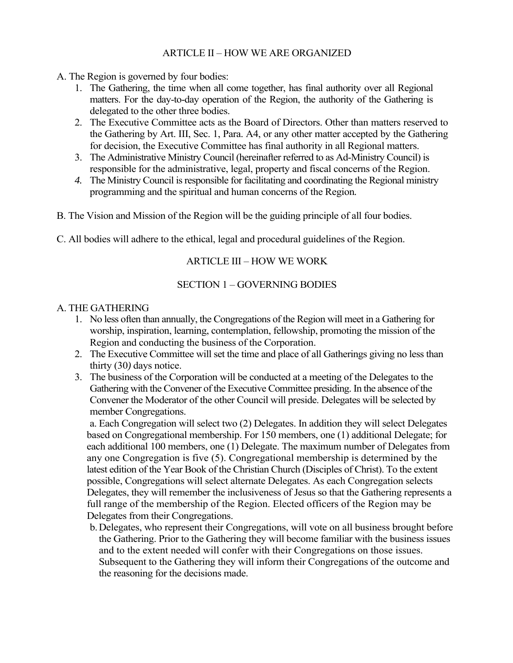#### ARTICLE II – HOW WE ARE ORGANIZED

- A. The Region is governed by four bodies:
	- 1. The Gathering, the time when all come together, has final authority over all Regional matters. For the day-to-day operation of the Region, the authority of the Gathering is delegated to the other three bodies.
	- 2. The Executive Committee acts as the Board of Directors. Other than matters reserved to the Gathering by Art. III, Sec. 1, Para. A4, or any other matter accepted by the Gathering for decision, the Executive Committee has final authority in all Regional matters.
	- 3. The Administrative Ministry Council (hereinafter referred to as Ad-Ministry Council) is responsible for the administrative, legal, property and fiscal concerns of the Region.
	- *4.* The Ministry Council is responsible for facilitating and coordinating the Regional ministry programming and the spiritual and human concerns of the Region*.*
- B. The Vision and Mission of the Region will be the guiding principle of all four bodies.
- C. All bodies will adhere to the ethical, legal and procedural guidelines of the Region.

#### ARTICLE III – HOW WE WORK

#### SECTION 1 – GOVERNING BODIES

#### A. THE GATHERING

- 1. No less often than annually, the Congregations of the Region will meet in a Gathering for worship, inspiration, learning, contemplation, fellowship, promoting the mission of the Region and conducting the business of the Corporation.
- 2. The Executive Committee will set the time and place of all Gatherings giving no less than thirty (30*)* days notice.
- 3. The business of the Corporation will be conducted at a meeting of the Delegates to the Gathering with the Convener of the Executive Committee presiding. In the absence of the Convener the Moderator of the other Council will preside. Delegates will be selected by member Congregations.

a. Each Congregation will select two (2) Delegates. In addition they will select Delegates based on Congregational membership. For 150 members, one (1) additional Delegate; for each additional 100 members, one (1) Delegate. The maximum number of Delegates from any one Congregation is five (5). Congregational membership is determined by the latest edition of the Year Book of the Christian Church (Disciples of Christ). To the extent possible, Congregations will select alternate Delegates. As each Congregation selects Delegates, they will remember the inclusiveness of Jesus so that the Gathering represents a full range of the membership of the Region. Elected officers of the Region may be Delegates from their Congregations.

b.Delegates, who represent their Congregations, will vote on all business brought before the Gathering. Prior to the Gathering they will become familiar with the business issues and to the extent needed will confer with their Congregations on those issues. Subsequent to the Gathering they will inform their Congregations of the outcome and the reasoning for the decisions made.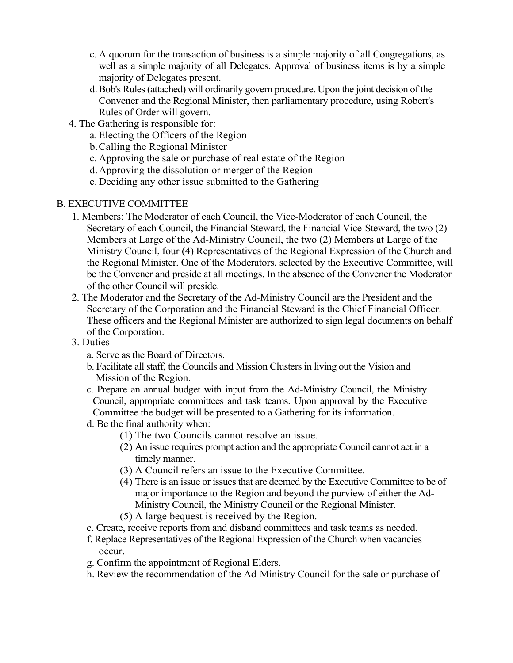- c. A quorum for the transaction of business is a simple majority of all Congregations, as well as a simple majority of all Delegates. Approval of business items is by a simple majority of Delegates present.
- d.Bob's Rules (attached) will ordinarily govern procedure. Upon the joint decision of the Convener and the Regional Minister, then parliamentary procedure, using Robert's Rules of Order will govern.
- 4. The Gathering is responsible for:
	- a. Electing the Officers of the Region
	- b.Calling the Regional Minister
	- c. Approving the sale or purchase of real estate of the Region
	- d.Approving the dissolution or merger of the Region
	- e. Deciding any other issue submitted to the Gathering

#### B. EXECUTIVE COMMITTEE

- 1. Members: The Moderator of each Council, the Vice-Moderator of each Council, the Secretary of each Council, the Financial Steward, the Financial Vice-Steward, the two (2) Members at Large of the Ad-Ministry Council, the two (2) Members at Large of the Ministry Council, four (4) Representatives of the Regional Expression of the Church and the Regional Minister. One of the Moderators, selected by the Executive Committee, will be the Convener and preside at all meetings. In the absence of the Convener the Moderator of the other Council will preside.
- 2. The Moderator and the Secretary of the Ad-Ministry Council are the President and the Secretary of the Corporation and the Financial Steward is the Chief Financial Officer. These officers and the Regional Minister are authorized to sign legal documents on behalf of the Corporation.
- 3. Duties
	- a. Serve as the Board of Directors.
	- b. Facilitate all staff, the Councils and Mission Clusters in living out the Vision and Mission of the Region.
	- c. Prepare an annual budget with input from the Ad-Ministry Council, the Ministry Council, appropriate committees and task teams. Upon approval by the Executive Committee the budget will be presented to a Gathering for its information.
	- d. Be the final authority when:
		- (1) The two Councils cannot resolve an issue.
		- (2) An issue requires prompt action and the appropriate Council cannot act in a timely manner.
		- (3) A Council refers an issue to the Executive Committee.
		- (4) There is an issue or issues that are deemed by the Executive Committee to be of major importance to the Region and beyond the purview of either the Ad-Ministry Council, the Ministry Council or the Regional Minister.
		- (5) A large bequest is received by the Region.
	- e. Create, receive reports from and disband committees and task teams as needed.
	- f. Replace Representatives of the Regional Expression of the Church when vacancies occur.
	- g. Confirm the appointment of Regional Elders.
	- h. Review the recommendation of the Ad-Ministry Council for the sale or purchase of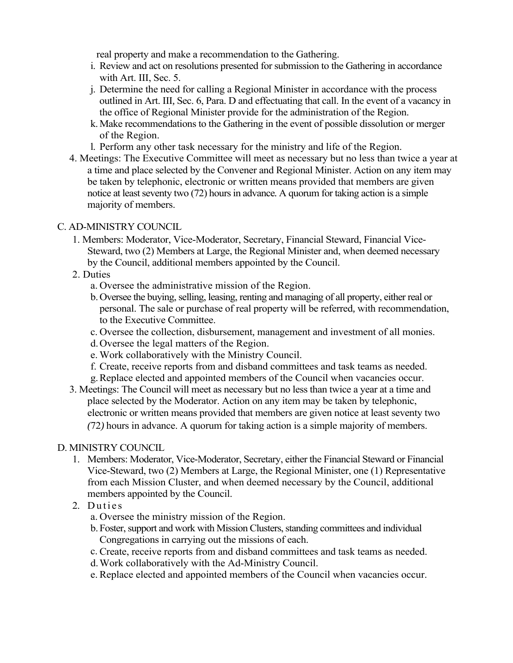real property and make a recommendation to the Gathering.

- i. Review and act on resolutions presented for submission to the Gathering in accordance with Art. III, Sec. 5.
- j. Determine the need for calling a Regional Minister in accordance with the process outlined in Art. III*,* Sec. 6, Para. D and effectuating that call. In the event of a vacancy in the office of Regional Minister provide for the administration of the Region.
- k.Make recommendations to the Gathering in the event of possible dissolution or merger of the Region.
- l. Perform any other task necessary for the ministry and life of the Region.
- 4. Meetings: The Executive Committee will meet as necessary but no less than twice a year at a time and place selected by the Convener and Regional Minister. Action on any item may be taken by telephonic, electronic or written means provided that members are given notice at least seventy two (72) hours in advance*.* A quorum for taking action is a simple majority of members.

#### C. AD-MINISTRY COUNCIL

1. Members: Moderator, Vice-Moderator, Secretary, Financial Steward, Financial Vice*-*Steward, two (2) Members at Large, the Regional Minister and, when deemed necessary by the Council, additional members appointed by the Council.

#### 2. Duties

- a. Oversee the administrative mission of the Region.
- b.Oversee the buying, selling, leasing, renting and managing of all property, either real or personal. The sale or purchase of real property will be referred*,* with recommendation, to the Executive Committee.
- c. Oversee the collection, disbursement*,* management and investment of all monies.
- d.Oversee the legal matters of the Region.
- e. Work collaboratively with the Ministry Council.
- f. Create, receive reports from and disband committees and task teams as needed.
- g.Replace elected and appointed members of the Council when vacancies occur.
- 3. Meetings: The Council will meet as necessary but no less than twice a year at a time and place selected by the Moderator. Action on any item may be taken by telephonic, electronic or written means provided that members are given notice at least seventy two *(*72*)* hours in advance. A quorum for taking action is a simple majority of members.

#### D. MINISTRY COUNCIL

- 1. Members: Moderator, Vice*-*Moderator, Secretary, either the Financial Steward or Financial Vice-Steward, two (2) Members at Large, the Regional Minister, one (1) Representative from each Mission Cluster, and when deemed necessary by the Council, additional members appointed by the Council.
- 2. Duties
	- a. Oversee the ministry mission of the Region.
	- b.Foster, support and work with Mission Clusters, standing committees and individual Congregations in carrying out the missions of each.
	- c. Create, receive reports from and disband committees and task teams as needed.
	- d.Work collaboratively with the Ad-Ministry Council.
	- e. Replace elected and appointed members of the Council when vacancies occur.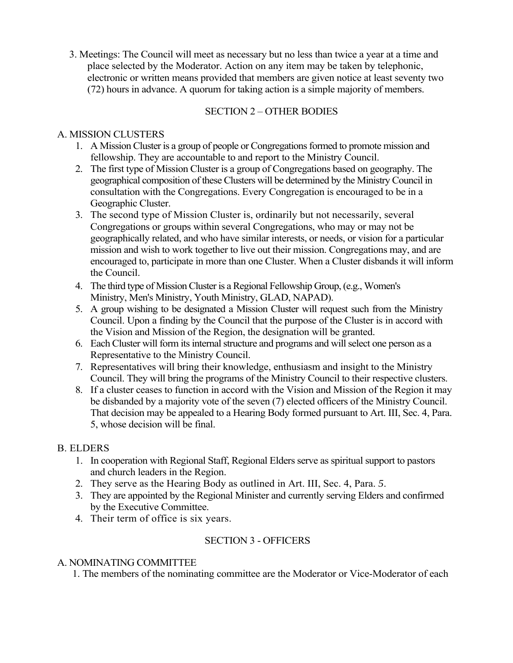3. Meetings: The Council will meet as necessary but no less than twice a year at a time and place selected by the Moderator. Action on any item may be taken by telephonic, electronic or written means provided that members are given notice at least seventy two (72) hours in advance. A quorum for taking action is a simple majority of members.

#### SECTION 2 – OTHER BODIES

#### A. MISSION CLUSTERS

- 1. A Mission Cluster is a group of people or Congregations formed to promote mission and fellowship. They are accountable to and report to the Ministry Council.
- 2. The first type of Mission Cluster is a group of Congregations based on geography. The geographical composition of these Clusters will be determined by the Ministry Council in consultation with the Congregations. Every Congregation is encouraged to be in a Geographic Cluster.
- 3. The second type of Mission Cluster is, ordinarily but not necessarily, several Congregations or groups within several Congregations, who may or may not be geographically related, and who have similar interests, or needs, or vision for a particular mission and wish to work together to live out their mission. Congregations may, and are encouraged to, participate in more than one Cluster. When a Cluster disbands it will inform the Council.
- 4. The third type of Mission Cluster is a Regional Fellowship Group, (e.g., Women's Ministry, Men's Ministry, Youth Ministry, GLAD, NAPAD).
- 5. A group wishing to be designated a Mission Cluster will request such from the Ministry Council. Upon a finding by the Council that the purpose of the Cluster is in accord with the Vision and Mission of the Region, the designation will be granted.
- 6. Each Cluster will form its internal structure and programs and will select one person as a Representative to the Ministry Council.
- 7. Representatives will bring their knowledge, enthusiasm and insight to the Ministry Council. They will bring the programs of the Ministry Council to their respective clusters.
- 8. If a cluster ceases to function in accord with the Vision and Mission of the Region it may be disbanded by a majority vote of the seven (7) elected officers of the Ministry Council. That decision may be appealed to a Hearing Body formed pursuant to Art. III, Sec. 4, Para. 5, whose decision will be final.

#### B. ELDERS

- 1. In cooperation with Regional Staff, Regional Elders serve as spiritual support to pastors and church leaders in the Region.
- 2. They serve as the Hearing Body as outlined in Art. III, Sec. 4, Para. *5*.
- 3. They are appointed by the Regional Minister and currently serving Elders and confirmed by the Executive Committee.
- 4. Their term of office is six years.

#### SECTION 3 - OFFICERS

#### A. NOMINATING COMMITTEE

1. The members of the nominating committee are the Moderator or Vice-Moderator of each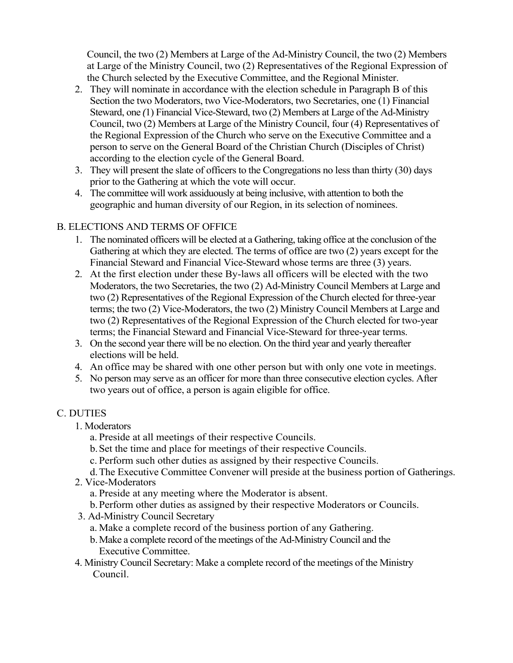Council, the two (2) Members at Large of the Ad-Ministry Council, the two (2) Members at Large of the Ministry Council, two (2) Representatives of the Regional Expression of the Church selected by the Executive Committee, and the Regional Minister.

- 2. They will nominate in accordance with the election schedule in Paragraph B of this Section the two Moderators, two Vice-Moderators, two Secretaries, one (1) Financial Steward, one *(*1) Financial Vice-Steward, two (2) Members at Large of the Ad-Ministry Council, two (2) Members at Large of the Ministry Council, four (4) Representatives of the Regional Expression of the Church who serve on the Executive Committee and a person to serve on the General Board of the Christian Church (Disciples of Christ) according to the election cycle of the General Board.
- 3. They will present the slate of officers to the Congregations no less than thirty (30) days prior to the Gathering at which the vote will occur.
- 4. The committee will work assiduously at being inclusive, with attention to both the geographic and human diversity of our Region, in its selection of nominees.

#### B. ELECTIONS AND TERMS OF OFFICE

- 1. The nominated officers will be elected at a Gathering, taking office at the conclusion of the Gathering at which they are elected. The terms of office are two (2) years except for the Financial Steward and Financial Vice-Steward whose terms are three (3) years.
- 2. At the first election under these By-laws all officers will be elected with the two Moderators, the two Secretaries, the two (2) Ad-Ministry Council Members at Large and two (2) Representatives of the Regional Expression of the Church elected for three-year terms; the two (2) Vice-Moderators, the two (2) Ministry Council Members at Large and two (2) Representatives of the Regional Expression of the Church elected for two-year terms; the Financial Steward and Financial Vice-Steward for three-year terms.
- 3. On the second year there will be no election. On the third year and yearly thereafter elections will be held.
- 4. An office may be shared with one other person but with only one vote in meetings.
- 5. No person may serve as an officer for more than three consecutive election cycles. After two years out of office, a person is again eligible for office.

#### C. DUTIES

- 1. Moderators
	- a. Preside at all meetings of their respective Councils.
	- b.Set the time and place for meetings of their respective Councils.
	- c. Perform such other duties as assigned by their respective Councils.
	- d.The Executive Committee Convener will preside at the business portion of Gatherings.
- 2. Vice-Moderators
	- a. Preside at any meeting where the Moderator is absent.
	- b.Perform other duties as assigned by their respective Moderators or Councils.
- 3. Ad-Ministry Council Secretary
	- a. Make a complete record of the business portion of any Gathering.
	- b.Make a complete record of the meetings of the Ad-Ministry Council and the Executive Committee.
- 4. Ministry Council Secretary: Make a complete record of the meetings of the Ministry Council.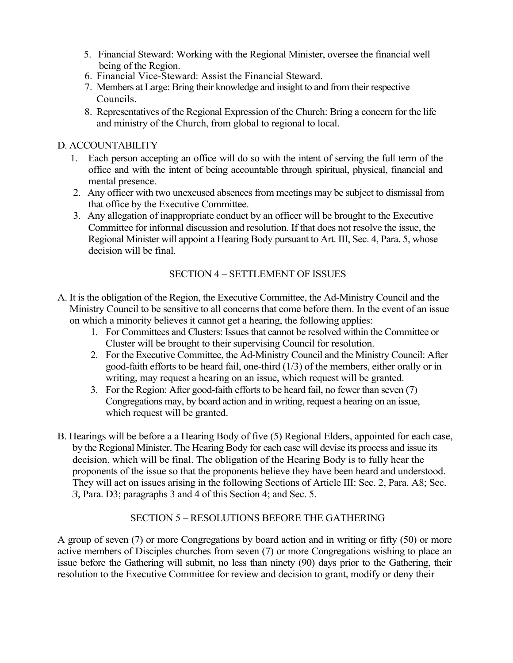- 5. Financial Steward: Working with the Regional Minister, oversee the financial well being of the Region.
- 6. Financial Vice-Steward: Assist the Financial Steward.
- 7. Members at Large: Bring their knowledge and insight to and from their respective Councils.
- 8. Representatives of the Regional Expression of the Church: Bring a concern for the life and ministry of the Church, from global to regional to local.

#### D. ACCOUNTABILITY

- 1. Each person accepting an office will do so with the intent of serving the full term of the office and with the intent of being accountable through spiritual, physical, financial and mental presence.
- 2. Any officer with two unexcused absences from meetings may be subject to dismissal from that office by the Executive Committee.
- 3. Any allegation of inappropriate conduct by an officer will be brought to the Executive Committee for informal discussion and resolution. If that does not resolve the issue, the Regional Minister will appoint a Hearing Body pursuant to Art. III, Sec. 4, Para. 5, whose decision will be final.

#### SECTION 4 – SETTLEMENT OF ISSUES

- A. It is the obligation of the Region, the Executive Committee, the Ad-Ministry Council and the Ministry Council to be sensitive to all concerns that come before them. In the event of an issue on which a minority believes it cannot get a hearing, the following applies:
	- 1. For Committees and Clusters: Issues that cannot be resolved within the Committee or Cluster will be brought to their supervising Council for resolution.
	- 2. For the Executive Committee, the Ad-Ministry Council and the Ministry Council: After good-faith efforts to be heard fail, one-third (1/3) of the members, either orally or in writing, may request a hearing on an issue, which request will be granted.
	- 3. For the Region: After good-faith efforts to be heard fail, no fewer than seven (7) Congregations may, by board action and in writing, request a hearing on an issue, which request will be granted.
- B. Hearings will be before a a Hearing Body of five (5) Regional Elders, appointed for each case, by the Regional Minister. The Hearing Body for each case will devise its process and issue its decision, which will be final. The obligation of the Hearing Body is to fully hear the proponents of the issue so that the proponents believe they have been heard and understood. They will act on issues arising in the following Sections of Article III: Sec. 2, Para. A8; Sec. *3,* Para. D3; paragraphs 3 and 4 of this Section 4; and Sec. 5.

#### SECTION 5 – RESOLUTIONS BEFORE THE GATHERING

A group of seven (7) or more Congregations by board action and in writing or fifty (50) or more active members of Disciples churches from seven (7) or more Congregations wishing to place an issue before the Gathering will submit, no less than ninety (90) days prior to the Gathering, their resolution to the Executive Committee for review and decision to grant, modify or deny their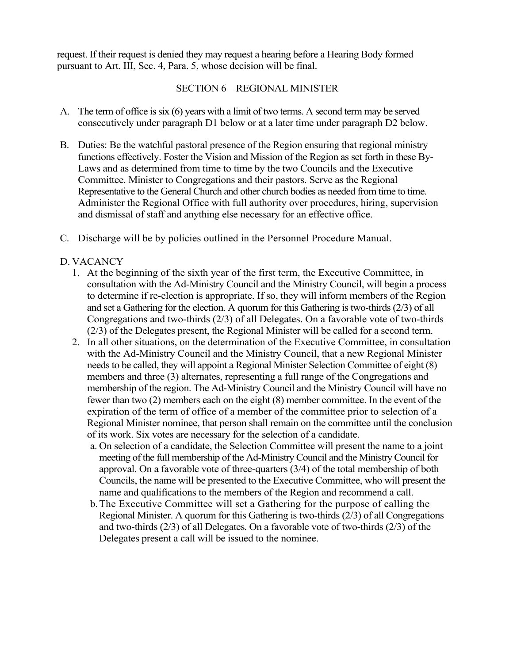request. If their request is denied they may request a hearing before a Hearing Body formed pursuant to Art. III, Sec. 4, Para. 5, whose decision will be final.

#### SECTION 6 – REGIONAL MINISTER

- A. The term of office is six (6) years with a limit of two terms. A second term may be served consecutively under paragraph D1 below or at a later time under paragraph D2 below.
- B. Duties: Be the watchful pastoral presence of the Region ensuring that regional ministry functions effectively. Foster the Vision and Mission of the Region as set forth in these By-Laws and as determined from time to time by the two Councils and the Executive Committee. Minister to Congregations and their pastors. Serve as the Regional Representative to the General Church and other church bodies as needed from time to time. Administer the Regional Office with full authority over procedures, hiring, supervision and dismissal of staff and anything else necessary for an effective office.
- C. Discharge will be by policies outlined in the Personnel Procedure Manual.

#### D. VACANCY

- 1. At the beginning of the sixth year of the first term, the Executive Committee, in consultation with the Ad-Ministry Council and the Ministry Council, will begin a process to determine if re-election is appropriate. If so, they will inform members of the Region and set a Gathering for the election. A quorum for this Gathering is two-thirds (2/3) of all Congregations and two-thirds (2/3) of all Delegates. On a favorable vote of two-thirds (2/3) of the Delegates present, the Regional Minister will be called for a second term.
- 2. In all other situations, on the determination of the Executive Committee, in consultation with the Ad-Ministry Council and the Ministry Council, that a new Regional Minister needs to be called, they will appoint a Regional Minister Selection Committee of eight (8) members and three (3) alternates, representing a full range of the Congregations and membership of the region. The Ad*-*Ministry Council and the Ministry Council will have no fewer than two (2) members each on the eight (8) member committee. In the event of the expiration of the term of office of a member of the committee prior to selection of a Regional Minister nominee, that person shall remain on the committee until the conclusion of its work. Six votes are necessary for the selection of a candidate.
	- a. On selection of a candidate, the Selection Committee will present the name to a joint meeting of the full membership of the Ad-Ministry Council and the Ministry Council for approval. On a favorable vote of three-quarters (3/4) of the total membership of both Councils, the name will be presented to the Executive Committee, who will present the name and qualifications to the members of the Region and recommend a call.
	- b.The Executive Committee will set a Gathering for the purpose of calling the Regional Minister. A quorum for this Gathering is two-thirds (2/3) of all Congregations and two-thirds (2/3) of all Delegates*.* On a favorable vote of two-thirds (2/3) of the Delegates present a call will be issued to the nominee.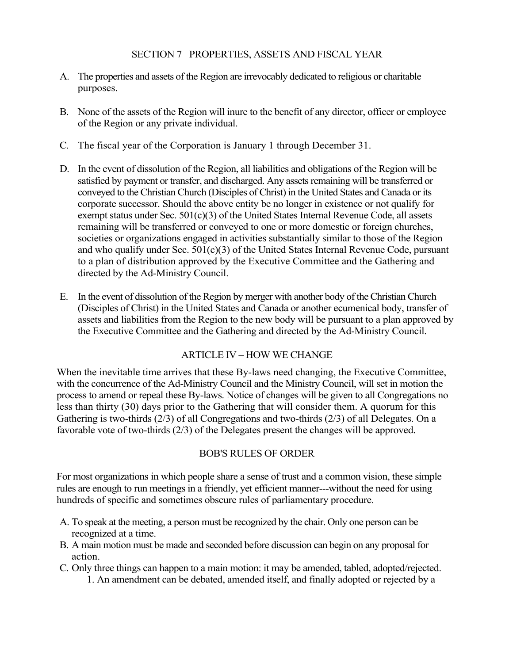#### SECTION 7– PROPERTIES, ASSETS AND FISCAL YEAR

- A. The properties and assets of the Region are irrevocably dedicated to religious or charitable purposes.
- B. None of the assets of the Region will inure to the benefit of any director, officer or employee of the Region or any private individual.
- C. The fiscal year of the Corporation is January 1 through December 31.
- D. In the event of dissolution of the Region, all liabilities and obligations of the Region will be satisfied by payment or transfer, and discharged. Any assets remaining will be transferred or conveyed to the Christian Church (Disciples of Christ) in the United States and Canada or its corporate successor. Should the above entity be no longer in existence or not qualify for exempt status under Sec.  $501(c)(3)$  of the United States Internal Revenue Code, all assets remaining will be transferred or conveyed to one or more domestic or foreign churches, societies or organizations engaged in activities substantially similar to those of the Region and who qualify under Sec.  $501(c)(3)$  of the United States Internal Revenue Code, pursuant to a plan of distribution approved by the Executive Committee and the Gathering and directed by the Ad-Ministry Council.
- E. In the event of dissolution of the Region by merger with another body of the Christian Church (Disciples of Christ) in the United States and Canada or another ecumenical body, transfer of assets and liabilities from the Region to the new body will be pursuant to a plan approved by the Executive Committee and the Gathering and directed by the Ad-Ministry Council.

#### ARTICLE IV – HOW WE CHANGE

When the inevitable time arrives that these By-laws need changing, the Executive Committee, with the concurrence of the Ad-Ministry Council and the Ministry Council, will set in motion the process to amend or repeal these By-laws. Notice of changes will be given to all Congregations no less than thirty (30) days prior to the Gathering that will consider them. A quorum for this Gathering is two-thirds (2/3) of all Congregations and two-thirds (2/3) of all Delegates. On a favorable vote of two-thirds (2/3) of the Delegates present the changes will be approved.

#### BOB'S RULES OF ORDER

For most organizations in which people share a sense of trust and a common vision, these simple rules are enough to run meetings in a friendly, yet efficient manner---without the need for using hundreds of specific and sometimes obscure rules of parliamentary procedure.

- A. To speak at the meeting, a person must be recognized by the chair. Only one person can be recognized at a time.
- B. A main motion must be made and seconded before discussion can begin on any proposal for action.
- C. Only three things can happen to a main motion: it may be amended, tabled, adopted/rejected. 1. An amendment can be debated, amended itself, and finally adopted or rejected by a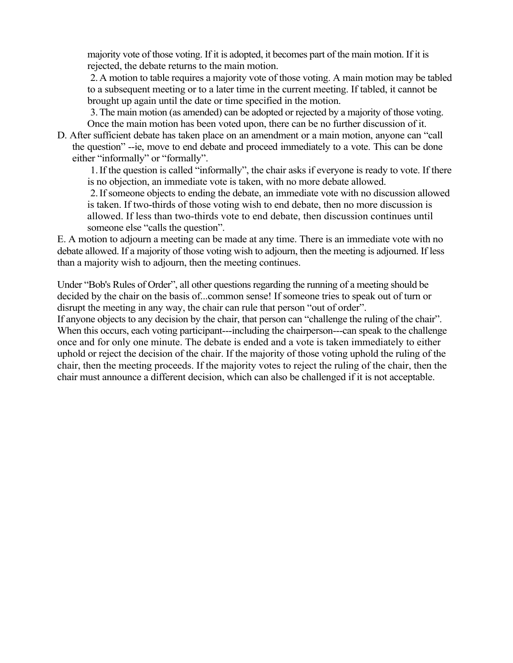majority vote of those voting. If it is adopted, it becomes part of the main motion. If it is rejected, the debate returns to the main motion.

2.A motion to table requires a majority vote of those voting. A main motion may be tabled to a subsequent meeting or to a later time in the current meeting. If tabled, it cannot be brought up again until the date or time specified in the motion.

3.The main motion (as amended) can be adopted or rejected by a majority of those voting. Once the main motion has been voted upon, there can be no further discussion of it.

D. After sufficient debate has taken place on an amendment or a main motion, anyone can "call the question" --ie, move to end debate and proceed immediately to a vote. This can be done either "informally" or "formally".

1.If the question is called "informally", the chair asks if everyone is ready to vote. If there is no objection, an immediate vote is taken, with no more debate allowed.

2.If someone objects to ending the debate, an immediate vote with no discussion allowed is taken. If two-thirds of those voting wish to end debate, then no more discussion is allowed. If less than two-thirds vote to end debate, then discussion continues until someone else "calls the question".

E. A motion to adjourn a meeting can be made at any time. There is an immediate vote with no debate allowed. If a majority of those voting wish to adjourn, then the meeting is adjourned. If less than a majority wish to adjourn, then the meeting continues.

Under "Bob's Rules of Order", all other questions regarding the running of a meeting should be decided by the chair on the basis of...common sense! If someone tries to speak out of turn or disrupt the meeting in any way, the chair can rule that person "out of order".

If anyone objects to any decision by the chair, that person can "challenge the ruling of the chair". When this occurs, each voting participant---including the chairperson---can speak to the challenge once and for only one minute. The debate is ended and a vote is taken immediately to either uphold or reject the decision of the chair. If the majority of those voting uphold the ruling of the chair, then the meeting proceeds. If the majority votes to reject the ruling of the chair, then the chair must announce a different decision, which can also be challenged if it is not acceptable.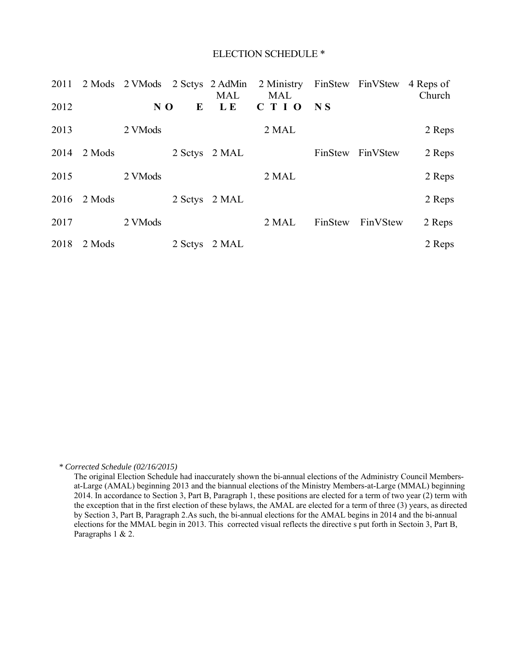#### ELECTION SCHEDULE \*

| 2011 |        | 2 Mods 2 VMods 2 Sctys 2 AdMin |         | <b>MAL</b> | 2 Ministry<br><b>MAL</b> |                | FinStew FinVStew | 4 Reps of<br>Church |
|------|--------|--------------------------------|---------|------------|--------------------------|----------------|------------------|---------------------|
| 2012 |        | NO                             | E       | L E        | C T I 0                  | N <sub>S</sub> |                  |                     |
| 2013 |        | 2 VMods                        |         |            | 2 MAL                    |                |                  | 2 Reps              |
| 2014 | 2 Mods |                                | 2 Setys | 2 MAL      |                          | FinStew        | FinVStew         | 2 Reps              |
| 2015 |        | 2 VMods                        |         |            | 2 MAL                    |                |                  | 2 Reps              |
| 2016 | 2 Mods |                                | 2 Setys | 2 MAL      |                          |                |                  | 2 Reps              |
| 2017 |        | 2 VMods                        |         |            | 2 MAL                    | FinStew        | FinVStew         | 2 Reps              |
| 2018 | 2 Mods |                                | 2 Setys | 2 MAL      |                          |                |                  | 2 Reps              |

*\* Corrected Schedule (02/16/2015)* 

The original Election Schedule had inaccurately shown the bi-annual elections of the Administry Council Membersat-Large (AMAL) beginning 2013 and the biannual elections of the Ministry Members-at-Large (MMAL) beginning 2014. In accordance to Section 3, Part B, Paragraph 1, these positions are elected for a term of two year (2) term with the exception that in the first election of these bylaws, the AMAL are elected for a term of three (3) years, as directed by Section 3, Part B, Paragraph 2.As such, the bi-annual elections for the AMAL begins in 2014 and the bi-annual elections for the MMAL begin in 2013. This corrected visual reflects the directive s put forth in Sectoin 3, Part B, Paragraphs 1 & 2.